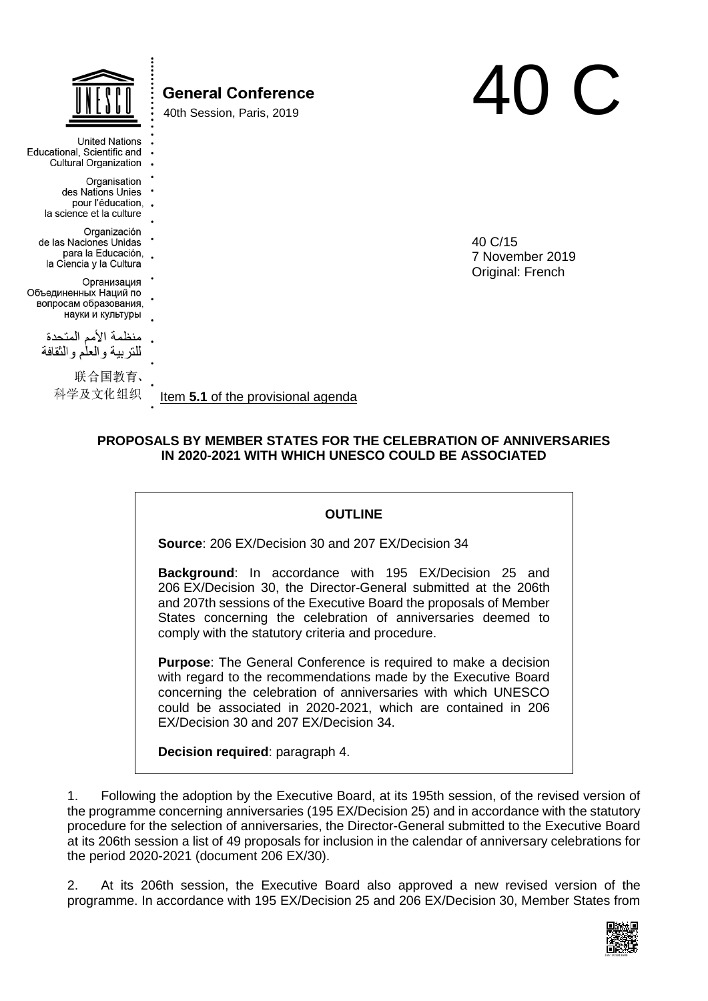|                                                                                         | <b>General Conference</b><br>40th Session, Paris, 2019 |                            |
|-----------------------------------------------------------------------------------------|--------------------------------------------------------|----------------------------|
| <b>United Nations</b><br>Educational, Scientific and<br>Cultural Organization .         |                                                        |                            |
| Organisation<br>des Nations Unies<br>pour l'éducation, .<br>la science et la culture    |                                                        |                            |
| Organización<br>de las Naciones Unidas<br>para la Educación,<br>la Ciencia y la Cultura |                                                        | 40 C/15<br>7 November 2019 |
| Организация<br>Объединенных Наций по<br>вопросам образования,<br>науки и культуры       |                                                        | Original: French           |
| منظمة الأمم المتحدة<br>للنربية والعلم والنقافة                                          |                                                        |                            |
| 联合国教育、<br>科学及文化组织                                                                       | Item 5.1 of the provisional agenda                     |                            |

## **PROPOSALS BY MEMBER STATES FOR THE CELEBRATION OF ANNIVERSARIES IN 2020-2021 WITH WHICH UNESCO COULD BE ASSOCIATED**

#### **OUTLINE**

**Source**: 206 EX/Decision 30 and 207 EX/Decision 34

**Background**: In accordance with 195 EX/Decision 25 and 206 EX/Decision 30, the Director-General submitted at the 206th and 207th sessions of the Executive Board the proposals of Member States concerning the celebration of anniversaries deemed to comply with the statutory criteria and procedure.

**Purpose**: The General Conference is required to make a decision with regard to the recommendations made by the Executive Board concerning the celebration of anniversaries with which UNESCO could be associated in 2020-2021, which are contained in 206 EX/Decision 30 and 207 EX/Decision 34.

**Decision required**: paragraph 4.

1. Following the adoption by the Executive Board, at its 195th session, of the revised version of the programme concerning anniversaries (195 EX/Decision 25) and in accordance with the statutory procedure for the selection of anniversaries, the Director-General submitted to the Executive Board at its 206th session a list of 49 proposals for inclusion in the calendar of anniversary celebrations for the period 2020-2021 (document 206 EX/30).

2. At its 206th session, the Executive Board also approved a new revised version of the programme. In accordance with 195 EX/Decision 25 and 206 EX/Decision 30, Member States from

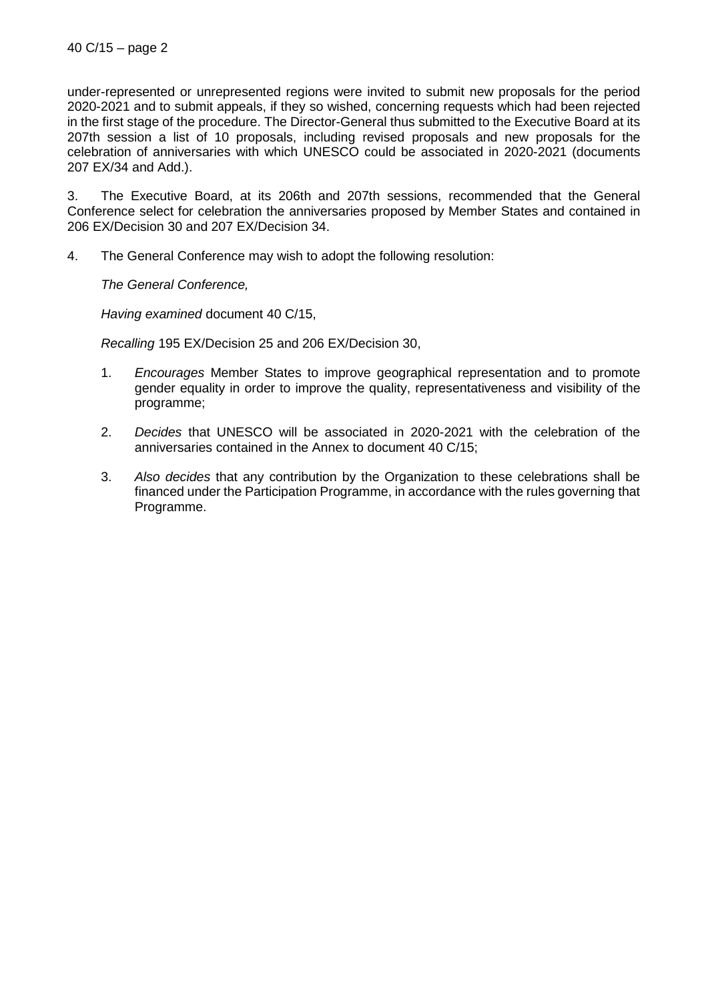under-represented or unrepresented regions were invited to submit new proposals for the period 2020-2021 and to submit appeals, if they so wished, concerning requests which had been rejected in the first stage of the procedure. The Director-General thus submitted to the Executive Board at its 207th session a list of 10 proposals, including revised proposals and new proposals for the celebration of anniversaries with which UNESCO could be associated in 2020-2021 (documents 207 EX/34 and Add.).

3. The Executive Board, at its 206th and 207th sessions, recommended that the General Conference select for celebration the anniversaries proposed by Member States and contained in 206 EX/Decision 30 and 207 EX/Decision 34.

4. The General Conference may wish to adopt the following resolution:

*The General Conference,*

*Having examined* document 40 C/15,

*Recalling* 195 EX/Decision 25 and 206 EX/Decision 30,

- 1. *Encourages* Member States to improve geographical representation and to promote gender equality in order to improve the quality, representativeness and visibility of the programme;
- 2. *Decides* that UNESCO will be associated in 2020-2021 with the celebration of the anniversaries contained in the Annex to document 40 C/15;
- 3. *Also decides* that any contribution by the Organization to these celebrations shall be financed under the Participation Programme, in accordance with the rules governing that Programme.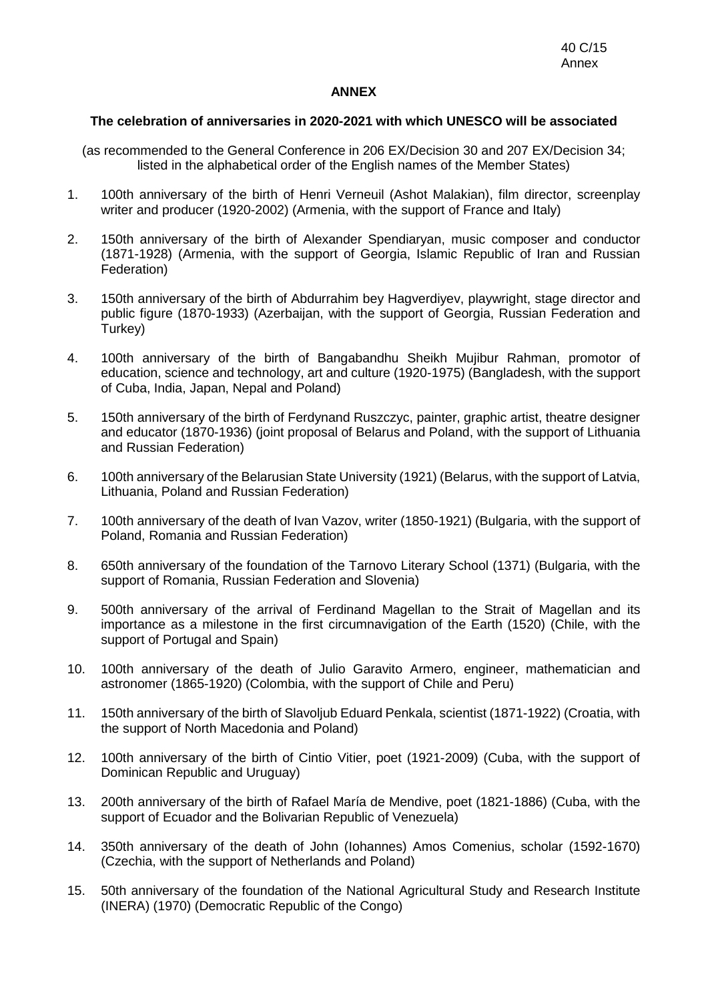### **ANNEX**

### **The celebration of anniversaries in 2020-2021 with which UNESCO will be associated**

- (as recommended to the General Conference in 206 EX/Decision 30 and 207 EX/Decision 34; listed in the alphabetical order of the English names of the Member States)
- 1. 100th anniversary of the birth of Henri Verneuil (Ashot Malakian), film director, screenplay writer and producer (1920-2002) (Armenia, with the support of France and Italy)
- 2. 150th anniversary of the birth of Alexander Spendiaryan, music composer and conductor (1871-1928) (Armenia, with the support of Georgia, Islamic Republic of Iran and Russian Federation)
- 3. 150th anniversary of the birth of Abdurrahim bey Hagverdiyev, playwright, stage director and public figure (1870-1933) (Azerbaijan, with the support of Georgia, Russian Federation and Turkey)
- 4. 100th anniversary of the birth of Bangabandhu Sheikh Mujibur Rahman, promotor of education, science and technology, art and culture (1920-1975) (Bangladesh, with the support of Cuba, India, Japan, Nepal and Poland)
- 5. 150th anniversary of the birth of Ferdynand Ruszczyc, painter, graphic artist, theatre designer and educator (1870-1936) (joint proposal of Belarus and Poland, with the support of Lithuania and Russian Federation)
- 6. 100th anniversary of the Belarusian State University (1921) (Belarus, with the support of Latvia, Lithuania, Poland and Russian Federation)
- 7. 100th anniversary of the death of Ivan Vazov, writer (1850-1921) (Bulgaria, with the support of Poland, Romania and Russian Federation)
- 8. 650th anniversary of the foundation of the Tarnovo Literary School (1371) (Bulgaria, with the support of Romania, Russian Federation and Slovenia)
- 9. 500th anniversary of the arrival of Ferdinand Magellan to the Strait of Magellan and its importance as a milestone in the first circumnavigation of the Earth (1520) (Chile, with the support of Portugal and Spain)
- 10. 100th anniversary of the death of Julio Garavito Armero, engineer, mathematician and astronomer (1865-1920) (Colombia, with the support of Chile and Peru)
- 11. 150th anniversary of the birth of Slavoljub Eduard Penkala, scientist (1871-1922) (Croatia, with the support of North Macedonia and Poland)
- 12. 100th anniversary of the birth of Cintio Vitier, poet (1921-2009) (Cuba, with the support of Dominican Republic and Uruguay)
- 13. 200th anniversary of the birth of Rafael María de Mendive, poet (1821-1886) (Cuba, with the support of Ecuador and the Bolivarian Republic of Venezuela)
- 14. 350th anniversary of the death of John (Iohannes) Amos Comenius, scholar (1592-1670) (Czechia, with the support of Netherlands and Poland)
- 15. 50th anniversary of the foundation of the National Agricultural Study and Research Institute (INERA) (1970) (Democratic Republic of the Congo)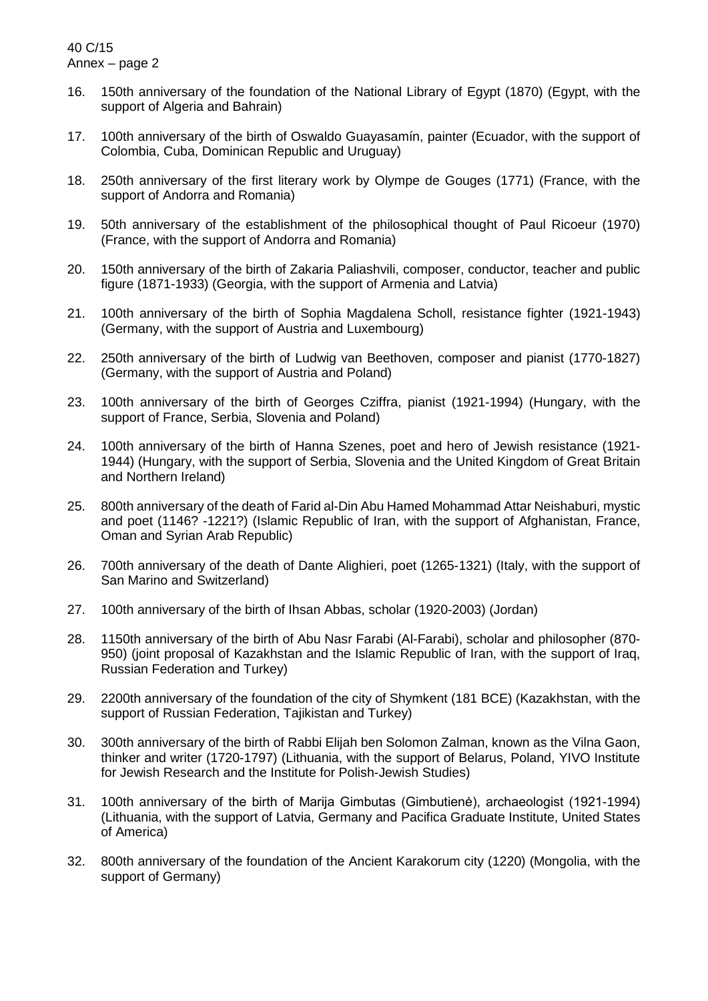- 16. 150th anniversary of the foundation of the National Library of Egypt (1870) (Egypt, with the support of Algeria and Bahrain)
- 17. 100th anniversary of the birth of Oswaldo Guayasamín, painter (Ecuador, with the support of Colombia, Cuba, Dominican Republic and Uruguay)
- 18. 250th anniversary of the first literary work by Olympe de Gouges (1771) (France, with the support of Andorra and Romania)
- 19. 50th anniversary of the establishment of the philosophical thought of Paul Ricoeur (1970) (France, with the support of Andorra and Romania)
- 20. 150th anniversary of the birth of Zakaria Paliashvili, composer, conductor, teacher and public figure (1871-1933) (Georgia, with the support of Armenia and Latvia)
- 21. 100th anniversary of the birth of Sophia Magdalena Scholl, resistance fighter (1921-1943) (Germany, with the support of Austria and Luxembourg)
- 22. 250th anniversary of the birth of Ludwig van Beethoven, composer and pianist (1770-1827) (Germany, with the support of Austria and Poland)
- 23. 100th anniversary of the birth of Georges Cziffra, pianist (1921-1994) (Hungary, with the support of France, Serbia, Slovenia and Poland)
- 24. 100th anniversary of the birth of Hanna Szenes, poet and hero of Jewish resistance (1921- 1944) (Hungary, with the support of Serbia, Slovenia and the United Kingdom of Great Britain and Northern Ireland)
- 25. 800th anniversary of the death of Farid al-Din Abu Hamed Mohammad Attar Neishaburi, mystic and poet (1146? -1221?) (Islamic Republic of Iran, with the support of Afghanistan, France, Oman and Syrian Arab Republic)
- 26. 700th anniversary of the death of Dante Alighieri, poet (1265-1321) (Italy, with the support of San Marino and Switzerland)
- 27. 100th anniversary of the birth of Ihsan Abbas, scholar (1920-2003) (Jordan)
- 28. 1150th anniversary of the birth of Abu Nasr Farabi (Al-Farabi), scholar and philosopher (870- 950) (joint proposal of Kazakhstan and the Islamic Republic of Iran, with the support of Iraq, Russian Federation and Turkey)
- 29. 2200th anniversary of the foundation of the city of Shymkent (181 BCE) (Kazakhstan, with the support of Russian Federation, Tajikistan and Turkey)
- 30. 300th anniversary of the birth of Rabbi Elijah ben Solomon Zalman, known as the Vilna Gaon, thinker and writer (1720-1797) (Lithuania, with the support of Belarus, Poland, YIVO Institute for Jewish Research and the Institute for Polish-Jewish Studies)
- 31. 100th anniversary of the birth of Marija Gimbutas (Gimbutienė), archaeologist (1921-1994) (Lithuania, with the support of Latvia, Germany and Pacifica Graduate Institute, United States of America)
- 32. 800th anniversary of the foundation of the Ancient Karakorum city (1220) (Mongolia, with the support of Germany)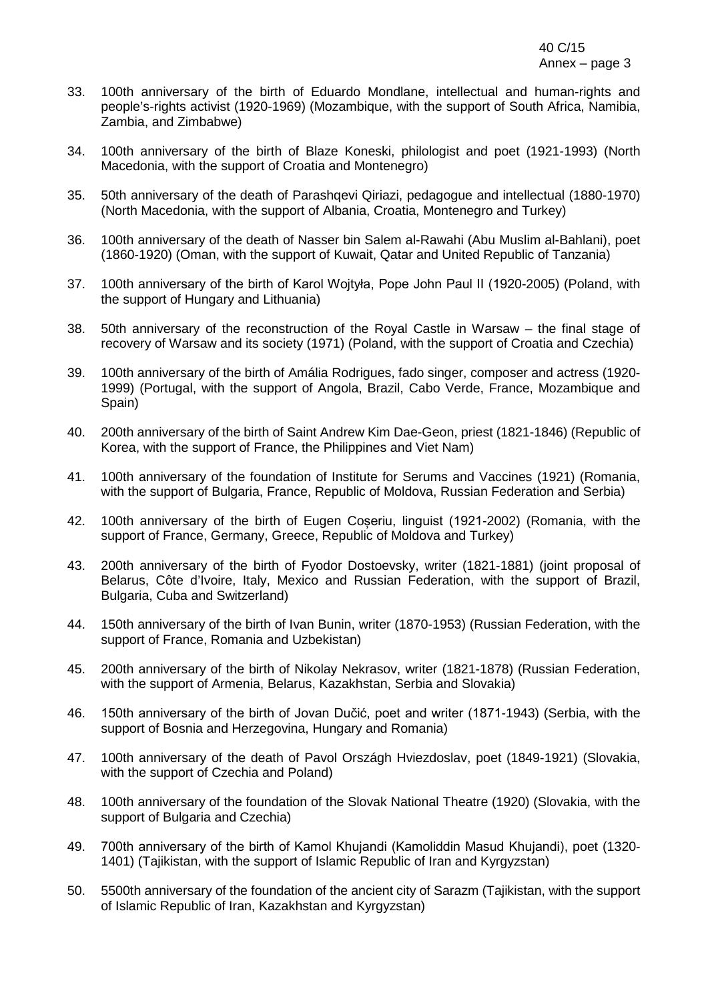- 33. 100th anniversary of the birth of Eduardo Mondlane, intellectual and human-rights and people's-rights activist (1920-1969) (Mozambique, with the support of South Africa, Namibia, Zambia, and Zimbabwe)
- 34. 100th anniversary of the birth of Blaze Koneski, philologist and poet (1921-1993) (North Macedonia, with the support of Croatia and Montenegro)
- 35. 50th anniversary of the death of Parashqevi Qiriazi, pedagogue and intellectual (1880-1970) (North Macedonia, with the support of Albania, Croatia, Montenegro and Turkey)
- 36. 100th anniversary of the death of Nasser bin Salem al-Rawahi (Abu Muslim al-Bahlani), poet (1860-1920) (Oman, with the support of Kuwait, Qatar and United Republic of Tanzania)
- 37. 100th anniversary of the birth of Karol Wojtyła, Pope John Paul II (1920-2005) (Poland, with the support of Hungary and Lithuania)
- 38. 50th anniversary of the reconstruction of the Royal Castle in Warsaw the final stage of recovery of Warsaw and its society (1971) (Poland, with the support of Croatia and Czechia)
- 39. 100th anniversary of the birth of Amália Rodrigues, fado singer, composer and actress (1920- 1999) (Portugal, with the support of Angola, Brazil, Cabo Verde, France, Mozambique and Spain)
- 40. 200th anniversary of the birth of Saint Andrew Kim Dae-Geon, priest (1821-1846) (Republic of Korea, with the support of France, the Philippines and Viet Nam)
- 41. 100th anniversary of the foundation of Institute for Serums and Vaccines (1921) (Romania, with the support of Bulgaria, France, Republic of Moldova, Russian Federation and Serbia)
- 42. 100th anniversary of the birth of Eugen Coșeriu, linguist (1921-2002) (Romania, with the support of France, Germany, Greece, Republic of Moldova and Turkey)
- 43. 200th anniversary of the birth of Fyodor Dostoevsky, writer (1821-1881) (joint proposal of Belarus, Côte d'Ivoire, Italy, Mexico and Russian Federation, with the support of Brazil, Bulgaria, Cuba and Switzerland)
- 44. 150th anniversary of the birth of Ivan Bunin, writer (1870-1953) (Russian Federation, with the support of France, Romania and Uzbekistan)
- 45. 200th anniversary of the birth of Nikolay Nekrasov, writer (1821-1878) (Russian Federation, with the support of Armenia, Belarus, Kazakhstan, Serbia and Slovakia)
- 46. 150th anniversary of the birth of Jovan Dučić, poet and writer (1871-1943) (Serbia, with the support of Bosnia and Herzegovina, Hungary and Romania)
- 47. 100th anniversary of the death of Pavol Országh Hviezdoslav, poet (1849-1921) (Slovakia, with the support of Czechia and Poland)
- 48. 100th anniversary of the foundation of the Slovak National Theatre (1920) (Slovakia, with the support of Bulgaria and Czechia)
- 49. 700th anniversary of the birth of Kamol Khujandi (Kamоliddin Masud Khujandi), poet (1320- 1401) (Tajikistan, with the support of Islamic Republic of Iran and Kyrgyzstan)
- 50. 5500th anniversary of the foundation of the ancient city of Sarazm (Tajikistan, with the support of Islamic Republic of Iran, Kazakhstan and Kyrgyzstan)